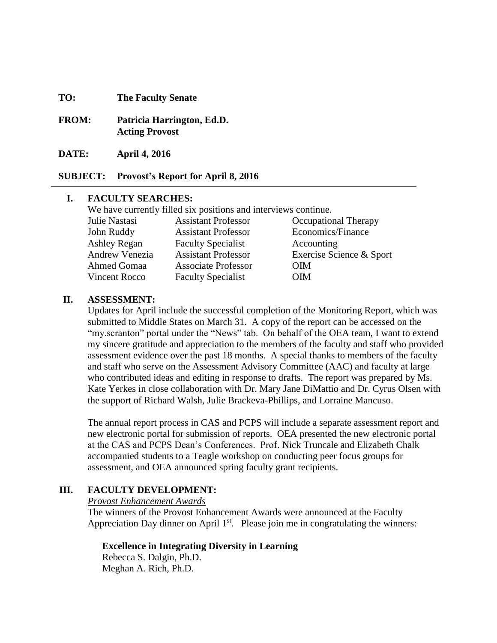#### **TO: The Faculty Senate**

- **FROM: Patricia Harrington, Ed.D. Acting Provost**
- **DATE: April 4, 2016**

**SUBJECT: Provost's Report for April 8, 2016**

#### **I. FACULTY SEARCHES:**

We have currently filled six positions and interviews continue. Julie Nastasi Assistant Professor Occupational Therapy John Ruddy Assistant Professor Economics/Finance Ashley Regan Faculty Specialist Accounting Andrew Venezia Assistant Professor Exercise Science & Sport Ahmed Gomaa Associate Professor OIM Vincent Rocco Faculty Specialist **OIM** 

#### **II. ASSESSMENT:**

Updates for April include the successful completion of the Monitoring Report, which was submitted to Middle States on March 31. A copy of the report can be accessed on the "my.scranton" portal under the "News" tab. On behalf of the OEA team, I want to extend my sincere gratitude and appreciation to the members of the faculty and staff who provided assessment evidence over the past 18 months. A special thanks to members of the faculty and staff who serve on the Assessment Advisory Committee (AAC) and faculty at large who contributed ideas and editing in response to drafts. The report was prepared by Ms. Kate Yerkes in close collaboration with Dr. Mary Jane DiMattio and Dr. Cyrus Olsen with the support of Richard Walsh, Julie Brackeva-Phillips, and Lorraine Mancuso.

The annual report process in CAS and PCPS will include a separate assessment report and new electronic portal for submission of reports. OEA presented the new electronic portal at the CAS and PCPS Dean's Conferences. Prof. Nick Truncale and Elizabeth Chalk accompanied students to a Teagle workshop on conducting peer focus groups for assessment, and OEA announced spring faculty grant recipients.

# **III. FACULTY DEVELOPMENT:**

*Provost Enhancement Awards*

The winners of the Provost Enhancement Awards were announced at the Faculty Appreciation Day dinner on April  $1<sup>st</sup>$ . Please join me in congratulating the winners:

# **Excellence in Integrating Diversity in Learning**

Rebecca S. Dalgin, Ph.D. Meghan A. Rich, Ph.D.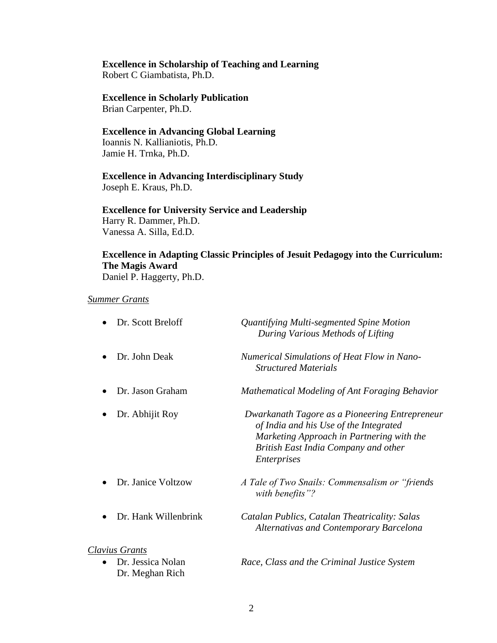# **Excellence in Scholarship of Teaching and Learning**

Robert C Giambatista, Ph.D.

# **Excellence in Scholarly Publication**

Brian Carpenter, Ph.D.

# **Excellence in Advancing Global Learning**

Ioannis N. Kallianiotis, Ph.D. Jamie H. Trnka, Ph.D.

# **Excellence in Advancing Interdisciplinary Study** Joseph E. Kraus, Ph.D.

**Excellence for University Service and Leadership** Harry R. Dammer, Ph.D. Vanessa A. Silla, Ed.D.

# **Excellence in Adapting Classic Principles of Jesuit Pedagogy into the Curriculum: The Magis Award**

Daniel P. Haggerty, Ph.D.

# *Summer Grants*

| Dr. Scott Breloff                                 | Quantifying Multi-segmented Spine Motion<br>During Various Methods of Lifting                                                                                                                       |
|---------------------------------------------------|-----------------------------------------------------------------------------------------------------------------------------------------------------------------------------------------------------|
| Dr. John Deak                                     | <b>Numerical Simulations of Heat Flow in Nano-</b><br><b>Structured Materials</b>                                                                                                                   |
| Dr. Jason Graham                                  | Mathematical Modeling of Ant Foraging Behavior                                                                                                                                                      |
| Dr. Abhijit Roy                                   | Dwarkanath Tagore as a Pioneering Entrepreneur<br>of India and his Use of the Integrated<br>Marketing Approach in Partnering with the<br>British East India Company and other<br><i>Enterprises</i> |
| Dr. Janice Voltzow                                | A Tale of Two Snails: Commensalism or "friends"<br>with benefits"?                                                                                                                                  |
| Dr. Hank Willenbrink                              | Catalan Publics, Catalan Theatricality: Salas<br><b>Alternativas and Contemporary Barcelona</b>                                                                                                     |
| Clavius Grants                                    |                                                                                                                                                                                                     |
| Dr. Jessica Nolan<br>$\bullet$<br>Dr. Meghan Rich | Race, Class and the Criminal Justice System                                                                                                                                                         |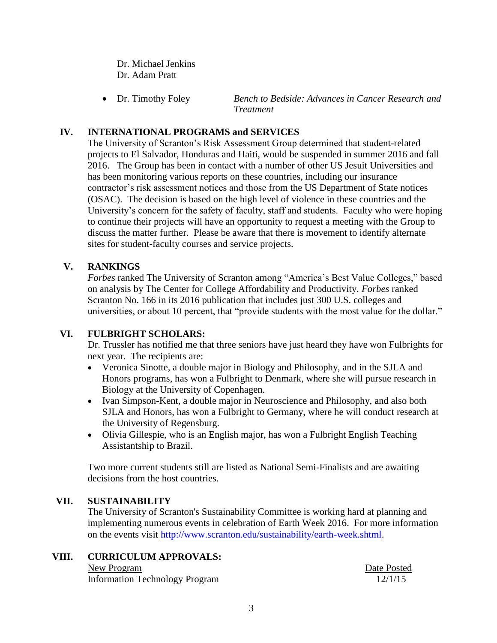Dr. Michael Jenkins Dr. Adam Pratt

 Dr. Timothy Foley *Bench to Bedside: Advances in Cancer Research and Treatment*

# **IV. INTERNATIONAL PROGRAMS and SERVICES**

The University of Scranton's Risk Assessment Group determined that student-related projects to El Salvador, Honduras and Haiti, would be suspended in summer 2016 and fall 2016. The Group has been in contact with a number of other US Jesuit Universities and has been monitoring various reports on these countries, including our insurance contractor's risk assessment notices and those from the US Department of State notices (OSAC). The decision is based on the high level of violence in these countries and the University's concern for the safety of faculty, staff and students. Faculty who were hoping to continue their projects will have an opportunity to request a meeting with the Group to discuss the matter further. Please be aware that there is movement to identify alternate sites for student-faculty courses and service projects.

# **V. RANKINGS**

*Forbes* ranked The University of Scranton among "America's Best Value Colleges," based on analysis by The Center for College Affordability and Productivity. *Forbes* ranked Scranton No. 166 in its 2016 publication that includes just 300 U.S. colleges and universities, or about 10 percent, that "provide students with the most value for the dollar."

# **VI. FULBRIGHT SCHOLARS:**

Dr. Trussler has notified me that three seniors have just heard they have won Fulbrights for next year. The recipients are:

- Veronica Sinotte, a double major in Biology and Philosophy, and in the SJLA and Honors programs, has won a Fulbright to Denmark, where she will pursue research in Biology at the University of Copenhagen.
- Ivan Simpson-Kent, a double major in Neuroscience and Philosophy, and also both SJLA and Honors, has won a Fulbright to Germany, where he will conduct research at the University of Regensburg.
- Olivia Gillespie, who is an English major, has won a Fulbright English Teaching Assistantship to Brazil.

Two more current students still are listed as National Semi-Finalists and are awaiting decisions from the host countries.

# **VII. SUSTAINABILITY**

The University of Scranton's Sustainability Committee is working hard at planning and implementing numerous events in celebration of Earth Week 2016. For more information on the events visit [http://www.scranton.edu/sustainability/earth-week.shtml.](http://www.scranton.edu/sustainability/earth-week.shtml)

**VIII. CURRICULUM APPROVALS:** New Program Date Posted

Information Technology Program 12/1/15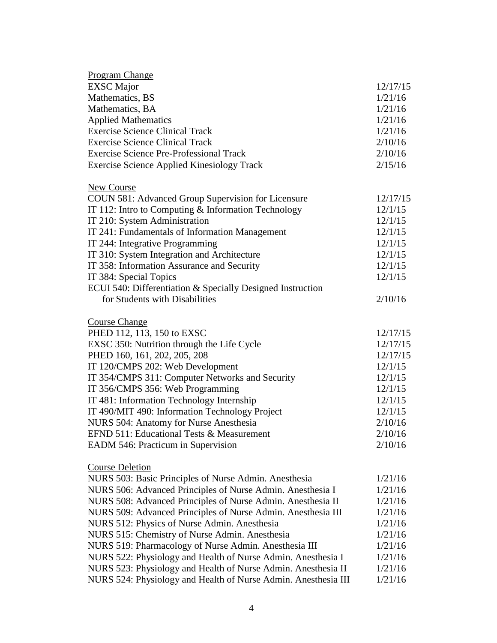| <b>Program Change</b>                                          |          |
|----------------------------------------------------------------|----------|
| <b>EXSC</b> Major                                              | 12/17/15 |
| Mathematics, BS                                                | 1/21/16  |
| Mathematics, BA                                                | 1/21/16  |
| <b>Applied Mathematics</b>                                     | 1/21/16  |
| <b>Exercise Science Clinical Track</b>                         | 1/21/16  |
| <b>Exercise Science Clinical Track</b>                         | 2/10/16  |
| Exercise Science Pre-Professional Track                        | 2/10/16  |
| <b>Exercise Science Applied Kinesiology Track</b>              | 2/15/16  |
| New Course                                                     |          |
| COUN 581: Advanced Group Supervision for Licensure             | 12/17/15 |
| IT 112: Intro to Computing & Information Technology            | 12/1/15  |
| IT 210: System Administration                                  | 12/1/15  |
| IT 241: Fundamentals of Information Management                 | 12/1/15  |
| IT 244: Integrative Programming                                | 12/1/15  |
| IT 310: System Integration and Architecture                    | 12/1/15  |
| IT 358: Information Assurance and Security                     | 12/1/15  |
| IT 384: Special Topics                                         | 12/1/15  |
| ECUI 540: Differentiation & Specially Designed Instruction     |          |
| for Students with Disabilities                                 | 2/10/16  |
| <b>Course Change</b>                                           |          |
| PHED 112, 113, 150 to EXSC                                     | 12/17/15 |
| EXSC 350: Nutrition through the Life Cycle                     | 12/17/15 |
| PHED 160, 161, 202, 205, 208                                   | 12/17/15 |
| IT 120/CMPS 202: Web Development                               | 12/1/15  |
| IT 354/CMPS 311: Computer Networks and Security                | 12/1/15  |
| IT 356/CMPS 356: Web Programming                               | 12/1/15  |
| IT 481: Information Technology Internship                      | 12/1/15  |
| IT 490/MIT 490: Information Technology Project                 | 12/1/15  |
| NURS 504: Anatomy for Nurse Anesthesia                         | 2/10/16  |
| EFND 511: Educational Tests & Measurement                      | 2/10/16  |
| EADM 546: Practicum in Supervision                             | 2/10/16  |
| <b>Course Deletion</b>                                         |          |
| NURS 503: Basic Principles of Nurse Admin. Anesthesia          | 1/21/16  |
| NURS 506: Advanced Principles of Nurse Admin. Anesthesia I     | 1/21/16  |
| NURS 508: Advanced Principles of Nurse Admin. Anesthesia II    | 1/21/16  |
| NURS 509: Advanced Principles of Nurse Admin. Anesthesia III   | 1/21/16  |
| NURS 512: Physics of Nurse Admin. Anesthesia                   | 1/21/16  |
| NURS 515: Chemistry of Nurse Admin. Anesthesia                 | 1/21/16  |
| NURS 519: Pharmacology of Nurse Admin. Anesthesia III          | 1/21/16  |
| NURS 522: Physiology and Health of Nurse Admin. Anesthesia I   | 1/21/16  |
| NURS 523: Physiology and Health of Nurse Admin. Anesthesia II  | 1/21/16  |
| NURS 524: Physiology and Health of Nurse Admin. Anesthesia III | 1/21/16  |
|                                                                |          |